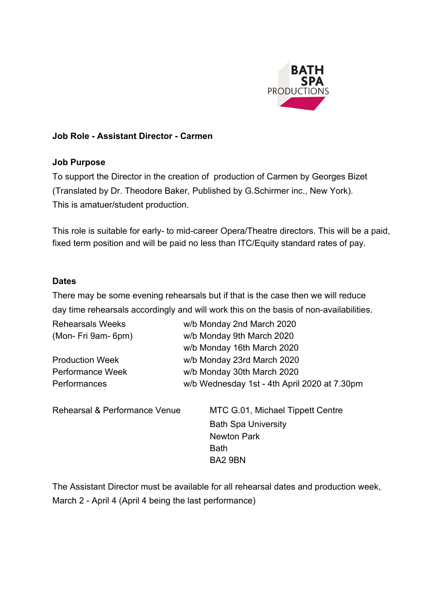

#### **Job Role - Assistant Director - Carmen**

#### **Job Purpose**

To support the Director in the creation of production of Carmen by Georges Bizet (Translated by Dr. Theodore Baker, Published by G.Schirmer inc., New York). This is amatuer/student production.

This role is suitable for early- to mid-career Opera/Theatre directors. This will be a paid, fixed term position and will be paid no less than ITC/Equity standard rates of pay.

#### **Dates**

There may be some evening rehearsals but if that is the case then we will reduce day time rehearsals accordingly and will work this on the basis of non-availabilities.

| <b>Rehearsals Weeks</b>       | w/b Monday 2nd March 2020                    |
|-------------------------------|----------------------------------------------|
| (Mon- Fri 9am- 6pm)           | w/b Monday 9th March 2020                    |
|                               | w/b Monday 16th March 2020                   |
| <b>Production Week</b>        | w/b Monday 23rd March 2020                   |
| <b>Performance Week</b>       | w/b Monday 30th March 2020                   |
| Performances                  | w/b Wednesday 1st - 4th April 2020 at 7.30pm |
| Rehearsal & Performance Venue | MTC G.01, Michael Tippett Centre             |
|                               | <b>Bath Spa University</b>                   |
|                               | <b>Newton Park</b>                           |
|                               | <b>Bath</b>                                  |
|                               | BA2 9BN                                      |

The Assistant Director must be available for all rehearsal dates and production week, March 2 - April 4 (April 4 being the last performance)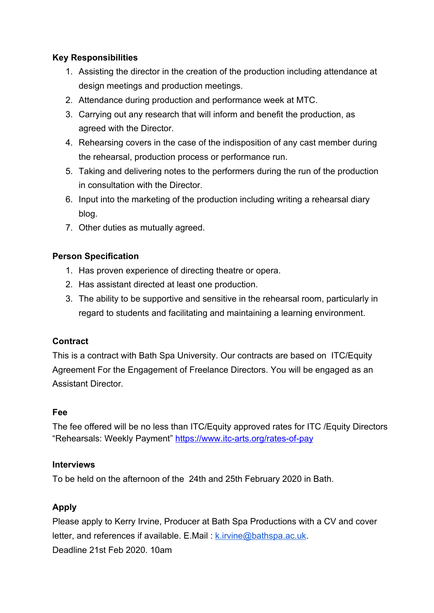## **Key Responsibilities**

- 1. Assisting the director in the creation of the production including attendance at design meetings and production meetings.
- 2. Attendance during production and performance week at MTC.
- 3. Carrying out any research that will inform and benefit the production, as agreed with the Director.
- 4. Rehearsing covers in the case of the indisposition of any cast member during the rehearsal, production process or performance run.
- 5. Taking and delivering notes to the performers during the run of the production in consultation with the Director.
- 6. Input into the marketing of the production including writing a rehearsal diary blog.
- 7. Other duties as mutually agreed.

## **Person Specification**

- 1. Has proven experience of directing theatre or opera.
- 2. Has assistant directed at least one production.
- 3. The ability to be supportive and sensitive in the rehearsal room, particularly in regard to students and facilitating and maintaining a learning environment.

### **Contract**

This is a contract with Bath Spa University. Our contracts are based on ITC/Equity Agreement For the Engagement of Freelance Directors. You will be engaged as an Assistant Director.

### **Fee**

The fee offered will be no less than ITC/Equity approved rates for ITC /Equity Directors "Rehearsals: Weekly Payment" <https://www.itc-arts.org/rates-of-pay>

### **Interviews**

To be held on the afternoon of the 24th and 25th February 2020 in Bath.

# **Apply**

Please apply to Kerry Irvine, Producer at Bath Spa Productions with a CV and cover letter, and references if available. E.Mail:  $k$ . *irvine@bathspa.ac.uk.* Deadline 21st Feb 2020. 10am